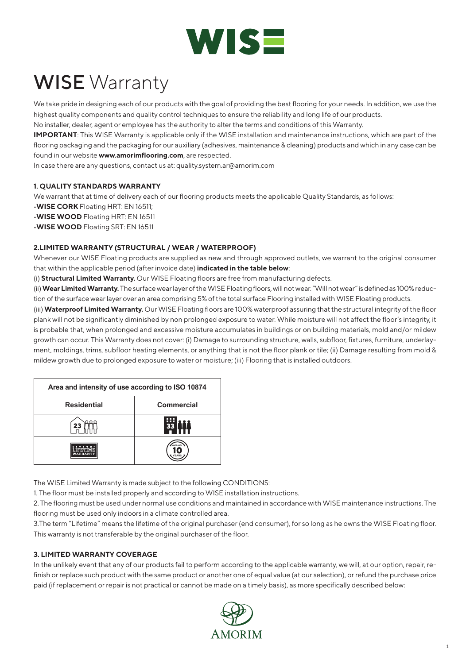

# WISE Warranty

We take pride in designing each of our products with the goal of providing the best flooring for your needs. In addition, we use the highest quality components and quality control techniques to ensure the reliability and long life of our products.

No installer, dealer, agent or employee has the authority to alter the terms and conditions of this Warranty.

**IMPORTANT**: This WISE Warranty is applicable only if the WISE installation and maintenance instructions, which are part of the flooring packaging and the packaging for our auxiliary (adhesives, maintenance & cleaning) products and which in any case can be found in our website **www.amorimflooring.com**, are respected.

In case there are any questions, contact us at: quality.system.ar@amorim.com

#### **1. QUALITY STANDARDS WARRANTY**

We warrant that at time of delivery each of our flooring products meets the applicable Quality Standards, as follows:

•**WISE CORK** Floating HRT: EN 16511;

•**WISE WOOD** Floating HRT: EN 16511

•**WISE WOOD** Floating SRT: EN 16511

#### **2.LIMITED WARRANTY (STRUCTURAL / WEAR / WATERPROOF)**

Whenever our WISE Floating products are supplied as new and through approved outlets, we warrant to the original consumer that within the applicable period (after invoice date) **indicated in the table below**:

(i) **Structural Limited Warranty.** Our WISE Floating floors are free from manufacturing defects.

(ii) **Wear Limited Warranty.** The surface wear layer of the WISE Floating floors, will not wear. "Will not wear" is defined as 100% reduction of the surface wear layer over an area comprising 5% of the total surface Flooring installed with WISE Floating products.

(iii) **Waterproof Limited Warranty.** Our WISE Floating floors are 100% waterproof assuring that the structural integrity of the floor plank will not be significantly diminished by non prolonged exposure to water. While moisture will not affect the floor's integrity, it is probable that, when prolonged and excessive moisture accumulates in buildings or on building materials, mold and/or mildew growth can occur. This Warranty does not cover: (i) Damage to surrounding structure, walls, subfloor, fixtures, furniture, underlayment, moldings, trims, subfloor heating elements, or anything that is not the floor plank or tile; (ii) Damage resulting from mold & mildew growth due to prolonged exposure to water or moisture; (iii) Flooring that is installed outdoors.

| Area and intensity of use according to ISO 10874 |                   |
|--------------------------------------------------|-------------------|
| <b>Residential</b>                               | <b>Commercial</b> |
|                                                  |                   |
| WARRANTY                                         |                   |

The WISE Limited Warranty is made subject to the following CONDITIONS:

1. The floor must be installed properly and according to WISE installation instructions.

2. The flooring must be used under normal use conditions and maintained in accordance with WISE maintenance instructions. The flooring must be used only indoors in a climate controlled area.

3.The term "Lifetime" means the lifetime of the original purchaser (end consumer), for so long as he owns the WISE Floating floor. This warranty is not transferable by the original purchaser of the floor.

#### **3. LIMITED WARRANTY COVERAGE**

In the unlikely event that any of our products fail to perform according to the applicable warranty, we will, at our option, repair, refinish or replace such product with the same product or another one of equal value (at our selection), or refund the purchase price paid (if replacement or repair is not practical or cannot be made on a timely basis), as more specifically described below:

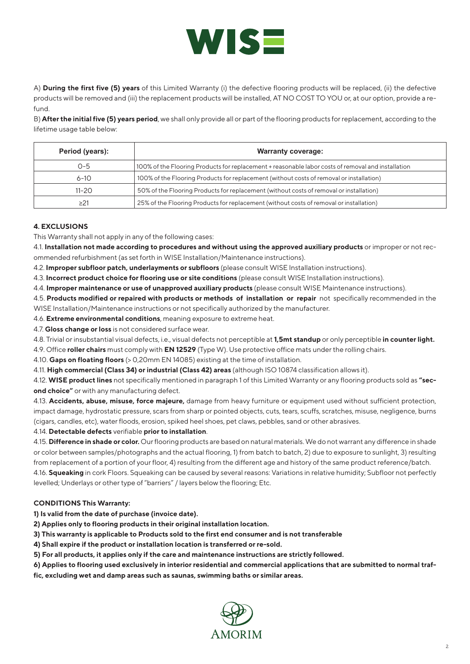

A) **During the first five (5) years** of this Limited Warranty (i) the defective flooring products will be replaced, (ii) the defective products will be removed and (iii) the replacement products will be installed, AT NO COST TO YOU or, at our option, provide a refund.

B) **After the initial five (5) years period**, we shall only provide all or part of the flooring products for replacement, according to the lifetime usage table below:

| Period (years): | <b>Warranty coverage:</b>                                                                          |
|-----------------|----------------------------------------------------------------------------------------------------|
| $O - 5$         | 100% of the Flooring Products for replacement + reasonable labor costs of removal and installation |
| $6 - 10$        | 100% of the Flooring Products for replacement (without costs of removal or installation)           |
| $11 - 20$       | 50% of the Flooring Products for replacement (without costs of removal or installation)            |
| $\geq$ 21       | 25% of the Flooring Products for replacement (without costs of removal or installation)            |

## **4. EXCLUSIONS**

This Warranty shall not apply in any of the following cases:

4.1. **Installation not made according to procedures and without using the approved auxiliary products** or improper or not recommended refurbishment (as set forth in WISE Installation/Maintenance instructions).

4.2. **Improper subfloor patch, underlayments or subfloors** (please consult WISE Installation instructions).

4.3. **Incorrect product choice for flooring use or site conditions** (please consult WISE Installation instructions).

4.4. **Improper maintenance or use of unapproved auxiliary products** (please consult WISE Maintenance instructions).

4.5. **Products modified or repaired with products or methods of installation or repair** not specifically recommended in the WISE Installation/Maintenance instructions or not specifically authorized by the manufacturer.

4.6. **Extreme environmental conditions**, meaning exposure to extreme heat.

4.7. **Gloss change or loss** is not considered surface wear.

4.8. Trivial or insubstantial visual defects, i.e., visual defects not perceptible at **1,5mt standup** or only perceptible **in counter light.**

4.9. Office **roller chairs** must comply with **EN 12529** (Type W). Use protective office mats under the rolling chairs.

4.10. **Gaps on floating floors** (> 0,20mm EN 14085) existing at the time of installation.

4.11. **High commercial (Class 34) or industrial (Class 42) areas** (although ISO 10874 classification allows it).

4.12. **WISE product lines** not specifically mentioned in paragraph 1 of this Limited Warranty or any flooring products sold as **"second choice"** or with any manufacturing defect.

4.13. **Accidents, abuse, misuse, force majeure,** damage from heavy furniture or equipment used without sufficient protection, impact damage, hydrostatic pressure, scars from sharp or pointed objects, cuts, tears, scuffs, scratches, misuse, negligence, burns (cigars, candles, etc), water floods, erosion, spiked heel shoes, pet claws, pebbles, sand or other abrasives.

4.14. **Detectable defects** verifiable **prior to installation**.

4.15. **Difference in shade or color.** Our flooring products are based on natural materials. We do not warrant any difference in shade or color between samples/photographs and the actual flooring, 1) from batch to batch, 2) due to exposure to sunlight, 3) resulting from replacement of a portion of your floor, 4) resulting from the different age and history of the same product reference/batch.

4.16. **Squeaking** in cork Floors. Squeaking can be caused by several reasons: Variations in relative humidity; Subfloor not perfectly levelled; Underlays or other type of "barriers" / layers below the flooring; Etc.

#### **CONDITIONS This Warranty:**

**1) Is valid from the date of purchase (invoice date).**

**2) Applies only to flooring products in their original installation location.**

**3) This warranty is applicable to Products sold to the first end consumer and is not transferable**

**4) Shall expire if the product or installation location is transferred or re-sold.**

**5) For all products, it applies only if the care and maintenance instructions are strictly followed.**

**6) Applies to flooring used exclusively in interior residential and commercial applications that are submitted to normal traf-**

**fic, excluding wet and damp areas such as saunas, swimming baths or similar areas.**